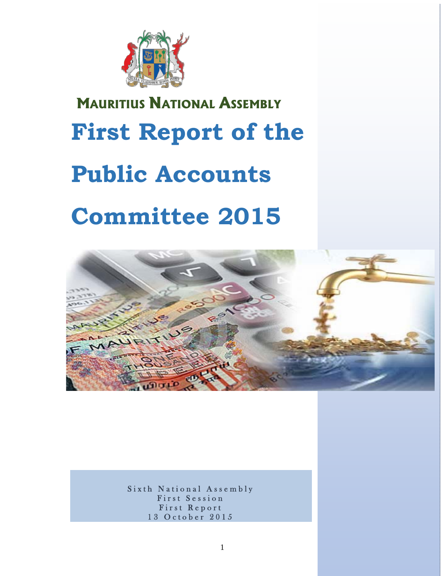

# **MAURITIUS NATIONAL ASSEMBLY First Report of the Public Accounts Committee 2015**



Sixth National Assembly First Session First Report 13 October 2015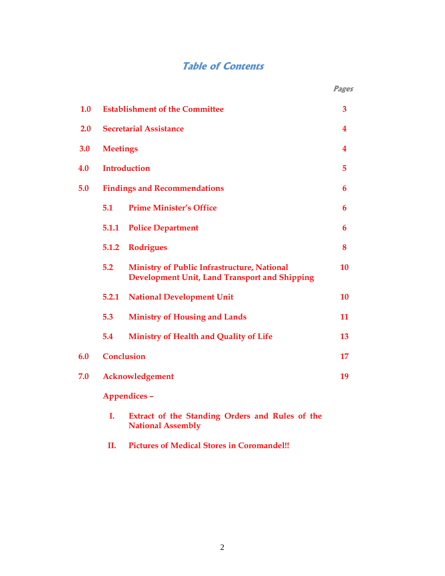# **Table of Contents**

|     |                                       |                                                                                                     | <b>Pages</b> |
|-----|---------------------------------------|-----------------------------------------------------------------------------------------------------|--------------|
| 1.0 | <b>Establishment of the Committee</b> |                                                                                                     | 3            |
| 2.0 | <b>Secretarial Assistance</b>         |                                                                                                     | 4            |
| 3.0 | <b>Meetings</b>                       |                                                                                                     | 4            |
| 4.0 | <b>Introduction</b>                   |                                                                                                     |              |
| 5.0 | <b>Findings and Recommendations</b>   |                                                                                                     | 6            |
|     | 5.1                                   | <b>Prime Minister's Office</b>                                                                      | 6            |
|     | 5.1.1                                 | <b>Police Department</b>                                                                            | 6            |
|     | 5.1.2                                 | <b>Rodrigues</b>                                                                                    | 8            |
|     | 5.2                                   | <b>Ministry of Public Infrastructure, National</b><br>Development Unit, Land Transport and Shipping | 10           |
|     | 5.2.1                                 | <b>National Development Unit</b>                                                                    | 10           |
|     | 5.3                                   | <b>Ministry of Housing and Lands</b>                                                                | 11           |
|     | 5.4                                   | Ministry of Health and Quality of Life                                                              | 13           |
| 6.0 | <b>Conclusion</b>                     |                                                                                                     | 17           |
| 7.0 | Acknowledgement                       |                                                                                                     |              |
|     | Appendices -                          |                                                                                                     |              |
|     | Ι.                                    | Extract of the Standing Orders and Rules of the                                                     |              |

 **II. Pictures of Medical Stores in Coromandel!!** 

**National Assembly**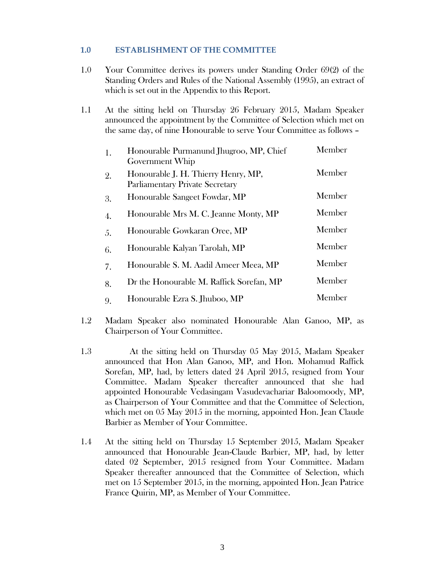#### **1.0 ESTABLISHMENT OF THE COMMITTEE**

- 1.0 Your Committee derives its powers under Standing Order 69(2) of the Standing Orders and Rules of the National Assembly (1995), an extract of which is set out in the Appendix to this Report.
- 1.1 At the sitting held on Thursday 26 February 2015, Madam Speaker announced the appointment by the Committee of Selection which met on the same day, of nine Honourable to serve Your Committee as follows –

| 1. | Honourable Purmanund Jhugroo, MP, Chief<br>Government Whip                    | Member |
|----|-------------------------------------------------------------------------------|--------|
| 2. | Honourable J. H. Thierry Henry, MP,<br><b>Parliamentary Private Secretary</b> | Member |
| 3. | Honourable Sangeet Fowdar, MP                                                 | Member |
| 4. | Honourable Mrs M. C. Jeanne Monty, MP                                         | Member |
| 5. | Honourable Gowkaran Oree, MP                                                  | Member |
| 6. | Honourable Kalyan Tarolah, MP                                                 | Member |
| 7. | Honourable S. M. Aadil Ameer Meea, MP                                         | Member |
| 8. | Dr the Honourable M. Raffick Sorefan, MP                                      | Member |
| 9. | Honourable Ezra S. Jhuboo, MP                                                 | Member |

- 1.2 Madam Speaker also nominated Honourable Alan Ganoo, MP, as Chairperson of Your Committee.
- 1.3 At the sitting held on Thursday 05 May 2015, Madam Speaker announced that Hon Alan Ganoo, MP, and Hon. Mohamud Raffick Sorefan, MP, had, by letters dated 24 April 2015, resigned from Your Committee. Madam Speaker thereafter announced that she had appointed Honourable Vedasingam Vasudevachariar Baloomoody, MP, as Chairperson of Your Committee and that the Committee of Selection, which met on 05 May 2015 in the morning, appointed Hon. Jean Claude Barbier as Member of Your Committee.
- 1.4 At the sitting held on Thursday 15 September 2015, Madam Speaker announced that Honourable Jean-Claude Barbier, MP, had, by letter dated 02 September, 2015 resigned from Your Committee. Madam Speaker thereafter announced that the Committee of Selection, which met on 15 September 2015, in the morning, appointed Hon. Jean Patrice France Quirin, MP, as Member of Your Committee.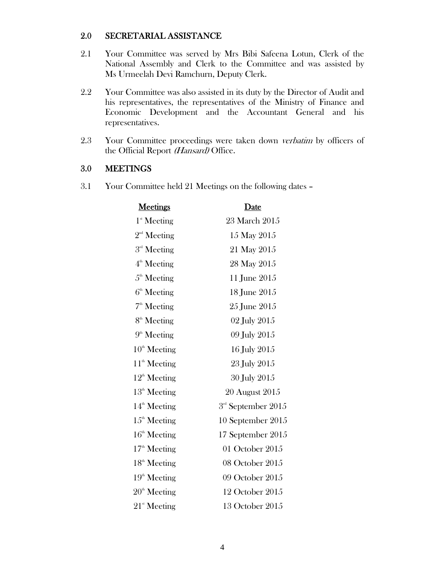#### 2.0 SECRETARIAL ASSISTANCE

- 2.1 Your Committee was served by Mrs Bibi Safeena Lotun, Clerk of the National Assembly and Clerk to the Committee and was assisted by Ms Urmeelah Devi Ramchurn, Deputy Clerk.
- 2.2 Your Committee was also assisted in its duty by the Director of Audit and his representatives, the representatives of the Ministry of Finance and Economic Development and the Accountant General and his representatives.
- 2.3 Your Committee proceedings were taken down verbatim by officers of the Official Report (Hansard) Office.

#### 3.0 MEETINGS

3.1 Your Committee held 21 Meetings on the following dates –

| <b>Meetings</b>          | Date                   |
|--------------------------|------------------------|
| $1^{\text{st}}$ Meeting  | 23 March 2015          |
| $2nd$ Meeting            | 15 May 2015            |
| 3 <sup>rd</sup> Meeting  | 21 May 2015            |
| 4 <sup>th</sup> Meeting  | 28 May 2015            |
| $5th$ Meeting            | 11 June 2015           |
| $6th$ Meeting            | 18 June 2015           |
| $7th$ Meeting            | 25 June 2015           |
| 8 <sup>th</sup> Meeting  | 02 July 2015           |
| $9th$ Meeting            | 09 July 2015           |
| $10th$ Meeting           | 16 July 2015           |
| $11th$ Meeting           | 23 July 2015           |
| $12^{\text{th}}$ Meeting | 30 July 2015           |
| $13th$ Meeting           | 20 August 2015         |
| $14th$ Meeting           | $3rd$ September $2015$ |
| $15th$ Meeting           | 10 September 2015      |
| $16th$ Meeting           | 17 September 2015      |
| $17th$ Meeting           | 01 October 2015        |
| $18th$ Meeting           | 08 October 2015        |
| $19th$ Meeting           | 09 October 2015        |
| $20th$ Meeting           | 12 October 2015        |
| $21st$ Meeting           | 13 October 2015        |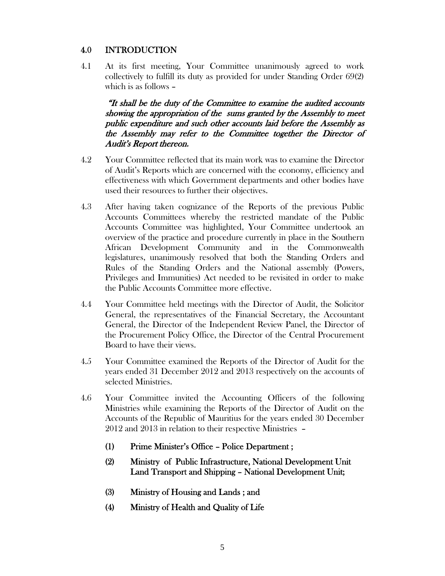# 4.0 INTRODUCTION

4.1 At its first meeting, Your Committee unanimously agreed to work collectively to fulfill its duty as provided for under Standing Order 69(2) which is as follows –

"It shall be the duty of the Committee to examine the audited accounts showing the appropriation of the sums granted by the Assembly to meet public expenditure and such other accounts laid before the Assembly as the Assembly may refer to the Committee together the Director of Audit's Report thereon.

- 4.2 Your Committee reflected that its main work was to examine the Director of Audit's Reports which are concerned with the economy, efficiency and effectiveness with which Government departments and other bodies have used their resources to further their objectives.
- 4.3 After having taken cognizance of the Reports of the previous Public Accounts Committees whereby the restricted mandate of the Public Accounts Committee was highlighted, Your Committee undertook an overview of the practice and procedure currently in place in the Southern African Development Community and in the Commonwealth legislatures, unanimously resolved that both the Standing Orders and Rules of the Standing Orders and the National assembly (Powers, Privileges and Immunities) Act needed to be revisited in order to make the Public Accounts Committee more effective.
- 4.4 Your Committee held meetings with the Director of Audit, the Solicitor General, the representatives of the Financial Secretary, the Accountant General, the Director of the Independent Review Panel, the Director of the Procurement Policy Office, the Director of the Central Procurement Board to have their views.
- 4.5 Your Committee examined the Reports of the Director of Audit for the years ended 31 December 2012 and 2013 respectively on the accounts of selected Ministries.
- 4.6 Your Committee invited the Accounting Officers of the following Ministries while examining the Reports of the Director of Audit on the Accounts of the Republic of Mauritius for the years ended 30 December 2012 and 2013 in relation to their respective Ministries –
	- (1) Prime Minister's Office Police Department ;
	- (2) Ministry of Public Infrastructure, National Development Unit Land Transport and Shipping – National Development Unit;
	- (3) Ministry of Housing and Lands ; and
	- (4) Ministry of Health and Quality of Life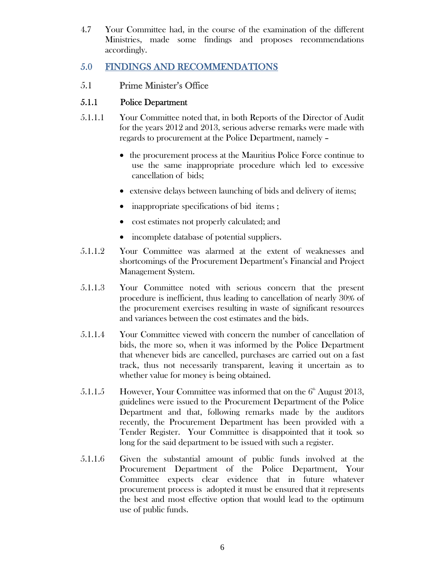4.7 Your Committee had, in the course of the examination of the different Ministries, made some findings and proposes recommendations accordingly.

# 5.0 FINDINGS AND RECOMMENDATIONS

# 5.1 Prime Minister's Office

# 5.1.1 Police Department

- 5.1.1.1 Your Committee noted that, in both Reports of the Director of Audit for the years 2012 and 2013, serious adverse remarks were made with regards to procurement at the Police Department, namely –
	- the procurement process at the Mauritius Police Force continue to use the same inappropriate procedure which led to excessive cancellation of bids;
	- extensive delays between launching of bids and delivery of items;
	- inappropriate specifications of bid items;
	- cost estimates not properly calculated; and
	- incomplete database of potential suppliers.
- 5.1.1.2 Your Committee was alarmed at the extent of weaknesses and shortcomings of the Procurement Department's Financial and Project Management System.
- 5.1.1.3 Your Committee noted with serious concern that the present procedure is inefficient, thus leading to cancellation of nearly 30% of the procurement exercises resulting in waste of significant resources and variances between the cost estimates and the bids.
- 5.1.1.4 Your Committee viewed with concern the number of cancellation of bids, the more so, when it was informed by the Police Department that whenever bids are cancelled, purchases are carried out on a fast track, thus not necessarily transparent, leaving it uncertain as to whether value for money is being obtained.
- 5.1.1.5 However, Your Committee was informed that on the  $6<sup>th</sup>$  August 2013, guidelines were issued to the Procurement Department of the Police Department and that, following remarks made by the auditors recently, the Procurement Department has been provided with a Tender Register. Your Committee is disappointed that it took so long for the said department to be issued with such a register.
- 5.1.1.6 Given the substantial amount of public funds involved at the Procurement Department of the Police Department, Your Committee expects clear evidence that in future whatever procurement process is adopted it must be ensured that it represents the best and most effective option that would lead to the optimum use of public funds.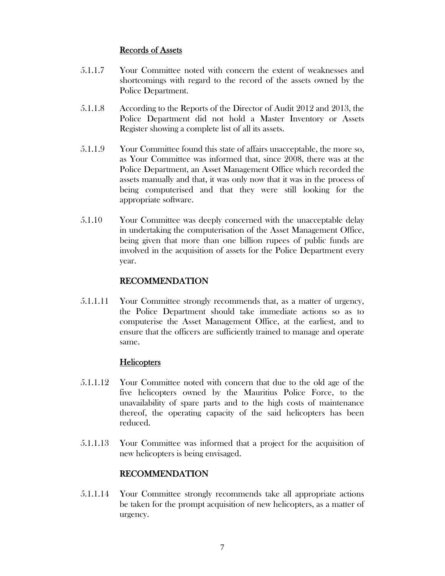#### Records of Assets

- 5.1.1.7 Your Committee noted with concern the extent of weaknesses and shortcomings with regard to the record of the assets owned by the Police Department.
- 5.1.1.8 According to the Reports of the Director of Audit 2012 and 2013, the Police Department did not hold a Master Inventory or Assets Register showing a complete list of all its assets.
- 5.1.1.9 Your Committee found this state of affairs unacceptable, the more so, as Your Committee was informed that, since 2008, there was at the Police Department, an Asset Management Office which recorded the assets manually and that, it was only now that it was in the process of being computerised and that they were still looking for the appropriate software.
- 5.1.10 Your Committee was deeply concerned with the unacceptable delay in undertaking the computerisation of the Asset Management Office, being given that more than one billion rupees of public funds are involved in the acquisition of assets for the Police Department every year.

## RECOMMENDATION

5.1.1.11 Your Committee strongly recommends that, as a matter of urgency, the Police Department should take immediate actions so as to computerise the Asset Management Office, at the earliest, and to ensure that the officers are sufficiently trained to manage and operate same.

## **Helicopters**

- 5.1.1.12 Your Committee noted with concern that due to the old age of the five helicopters owned by the Mauritius Police Force, to the unavailability of spare parts and to the high costs of maintenance thereof, the operating capacity of the said helicopters has been reduced.
- 5.1.1.13 Your Committee was informed that a project for the acquisition of new helicopters is being envisaged.

## RECOMMENDATION

5.1.1.14 Your Committee strongly recommends take all appropriate actions be taken for the prompt acquisition of new helicopters, as a matter of urgency.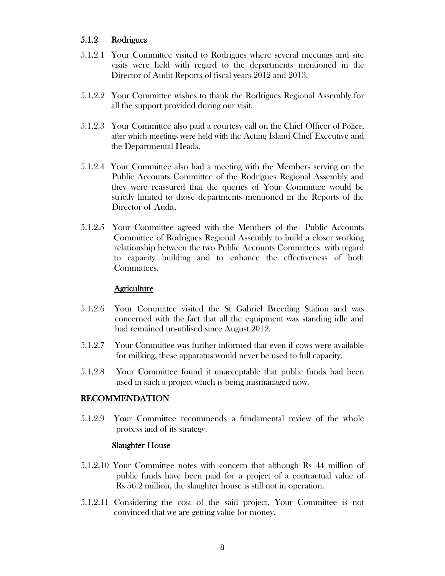# 5.1.2 Rodrigues

- 5.1.2.1 Your Committee visited to Rodrigues where several meetings and site visits were held with regard to the departments mentioned in the Director of Audit Reports of fiscal years 2012 and 2013.
- 5.1.2.2 Your Committee wishes to thank the Rodrigues Regional Assembly for all the support provided during our visit.
- 5.1.2.3 Your Committee also paid a courtesy call on the Chief Officer of Police, after which meetings were held with the Acting Island Chief Executive and the Departmental Heads.
- 5.1.2.4 Your Committee also had a meeting with the Members serving on the Public Accounts Committee of the Rodrigues Regional Assembly and they were reassured that the queries of Your Committee would be strictly limited to those departments mentioned in the Reports of the Director of Audit.
- 5.1.2.5 Your Committee agreed with the Members of the Public Accounts Committee of Rodrigues Regional Assembly to build a closer working relationship between the two Public Accounts Committees with regard to capacity building and to enhance the effectiveness of both Committees.

#### **Agriculture**

- 5.1.2.6 Your Committee visited the St Gabriel Breeding Station and was concerned with the fact that all the equipment was standing idle and had remained un-utilised since August 2012.
- 5.1.2.7 Your Committee was further informed that even if cows were available for milking, these apparatus would never be used to full capacity.
- 5.1.2.8 Your Committee found it unacceptable that public funds had been used in such a project which is being mismanaged now.

#### RECOMMENDATION

5.1.2.9 Your Committee recommends a fundamental review of the whole process and of its strategy.

#### Slaughter House

- 5.1.2.10 Your Committee notes with concern that although Rs 44 million of public funds have been paid for a project of a contractual value of Rs 56.2 million, the slaughter house is still not in operation.
- 5.1.2.11 Considering the cost of the said project, Your Committee is not convinced that we are getting value for money.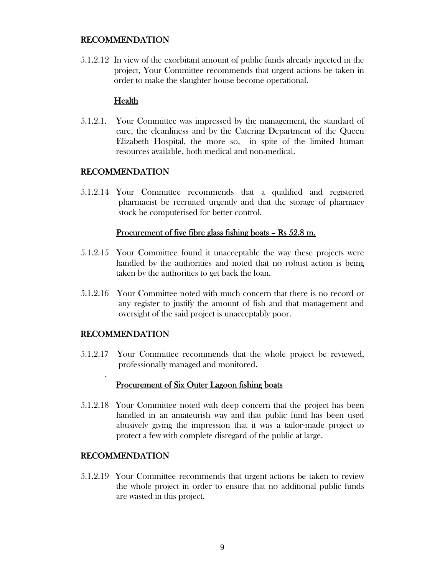#### RECOMMENDATION

5.1.2.12 In view of the exorbitant amount of public funds already injected in the project, Your Committee recommends that urgent actions be taken in order to make the slaughter house become operational.

## **Health**

5.1.2.1. Your Committee was impressed by the management, the standard of care, the cleanliness and by the Catering Department of the Queen Elizabeth Hospital, the more so, in spite of the limited human resources available, both medical and non-medical.

#### RECOMMENDATION

5.1.2.14 Your Committee recommends that a qualified and registered pharmacist be recruited urgently and that the storage of pharmacy stock be computerised for better control.

#### Procurement of five fibre glass fishing boats – Rs 52.8 m.

- 5.1.2.15 Your Committee found it unacceptable the way these projects were handled by the authorities and noted that no robust action is being taken by the authorities to get back the loan.
- 5.1.2.16 Your Committee noted with much concern that there is no record or any register to justify the amount of fish and that management and oversight of the said project is unacceptably poor.

## RECOMMENDATION

.

5.1.2.17 Your Committee recommends that the whole project be reviewed, professionally managed and monitored.

#### Procurement of Six Outer Lagoon fishing boats

5.1.2.18 Your Committee noted with deep concern that the project has been handled in an amateurish way and that public fund has been used abusively giving the impression that it was a tailor-made project to protect a few with complete disregard of the public at large.

## RECOMMENDATION

5.1.2.19 Your Committee recommends that urgent actions be taken to review the whole project in order to ensure that no additional public funds are wasted in this project.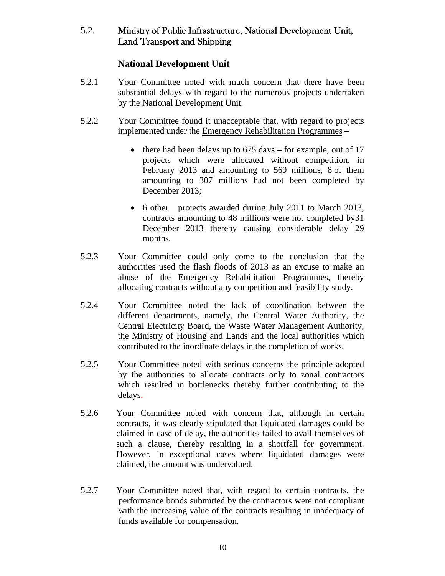# 5.2. Ministry of Public Infrastructure, National Development Unit, Land Transport and Shipping

# **National Development Unit**

- 5.2.1 Your Committee noted with much concern that there have been substantial delays with regard to the numerous projects undertaken by the National Development Unit.
- 5.2.2 Your Committee found it unacceptable that, with regard to projects implemented under the Emergency Rehabilitation Programmes –
	- $\bullet$  there had been delays up to 675 days for example, out of 17 projects which were allocated without competition, in February 2013 and amounting to 569 millions, 8 of them amounting to 307 millions had not been completed by December 2013;
	- 6 other projects awarded during July 2011 to March 2013, contracts amounting to 48 millions were not completed by31 December 2013 thereby causing considerable delay 29 months.
- 5.2.3 Your Committee could only come to the conclusion that the authorities used the flash floods of 2013 as an excuse to make an abuse of the Emergency Rehabilitation Programmes, thereby allocating contracts without any competition and feasibility study.
- 5.2.4 Your Committee noted the lack of coordination between the different departments, namely, the Central Water Authority, the Central Electricity Board, the Waste Water Management Authority, the Ministry of Housing and Lands and the local authorities which contributed to the inordinate delays in the completion of works.
- 5.2.5 Your Committee noted with serious concerns the principle adopted by the authorities to allocate contracts only to zonal contractors which resulted in bottlenecks thereby further contributing to the delays.
- 5.2.6 Your Committee noted with concern that, although in certain contracts, it was clearly stipulated that liquidated damages could be claimed in case of delay, the authorities failed to avail themselves of such a clause, thereby resulting in a shortfall for government. However, in exceptional cases where liquidated damages were claimed, the amount was undervalued.
- 5.2.7 Your Committee noted that, with regard to certain contracts, the performance bonds submitted by the contractors were not compliant with the increasing value of the contracts resulting in inadequacy of funds available for compensation.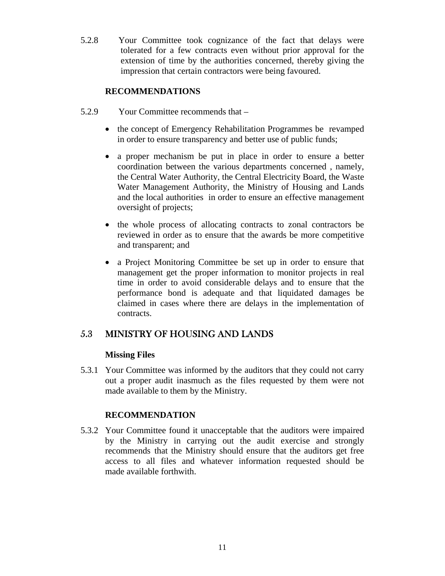5.2.8 Your Committee took cognizance of the fact that delays were tolerated for a few contracts even without prior approval for the extension of time by the authorities concerned, thereby giving the impression that certain contractors were being favoured.

## **RECOMMENDATIONS**

- 5.2.9 Your Committee recommends that
	- the concept of Emergency Rehabilitation Programmes be revamped in order to ensure transparency and better use of public funds;
	- a proper mechanism be put in place in order to ensure a better coordination between the various departments concerned , namely, the Central Water Authority, the Central Electricity Board, the Waste Water Management Authority, the Ministry of Housing and Lands and the local authorities in order to ensure an effective management oversight of projects;
	- the whole process of allocating contracts to zonal contractors be reviewed in order as to ensure that the awards be more competitive and transparent; and
	- a Project Monitoring Committee be set up in order to ensure that management get the proper information to monitor projects in real time in order to avoid considerable delays and to ensure that the performance bond is adequate and that liquidated damages be claimed in cases where there are delays in the implementation of contracts.

# 5.3 MINISTRY OF HOUSING AND LANDS

## **Missing Files**

5.3.1 Your Committee was informed by the auditors that they could not carry out a proper audit inasmuch as the files requested by them were not made available to them by the Ministry.

#### **RECOMMENDATION**

5.3.2 Your Committee found it unacceptable that the auditors were impaired by the Ministry in carrying out the audit exercise and strongly recommends that the Ministry should ensure that the auditors get free access to all files and whatever information requested should be made available forthwith.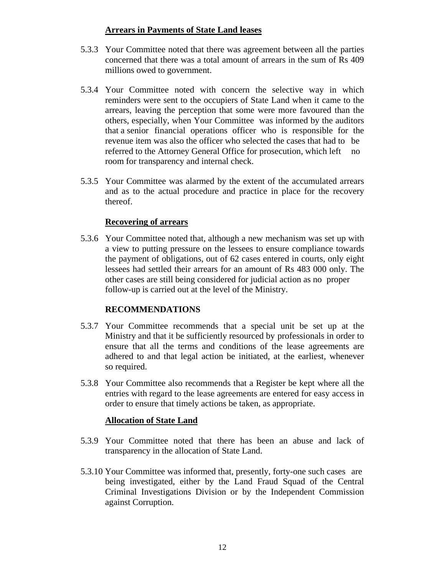## **Arrears in Payments of State Land leases**

- 5.3.3 Your Committee noted that there was agreement between all the parties concerned that there was a total amount of arrears in the sum of Rs 409 millions owed to government.
- 5.3.4 Your Committee noted with concern the selective way in which reminders were sent to the occupiers of State Land when it came to the arrears, leaving the perception that some were more favoured than the others, especially, when Your Committee was informed by the auditors that a senior financial operations officer who is responsible for the revenue item was also the officer who selected the cases that had to be referred to the Attorney General Office for prosecution, which left no room for transparency and internal check.
- 5.3.5 Your Committee was alarmed by the extent of the accumulated arrears and as to the actual procedure and practice in place for the recovery thereof.

# **Recovering of arrears**

5.3.6 Your Committee noted that, although a new mechanism was set up with a view to putting pressure on the lessees to ensure compliance towards the payment of obligations, out of 62 cases entered in courts, only eight lessees had settled their arrears for an amount of Rs 483 000 only. The other cases are still being considered for judicial action as no proper follow-up is carried out at the level of the Ministry.

# **RECOMMENDATIONS**

- 5.3.7 Your Committee recommends that a special unit be set up at the Ministry and that it be sufficiently resourced by professionals in order to ensure that all the terms and conditions of the lease agreements are adhered to and that legal action be initiated, at the earliest, whenever so required.
- 5.3.8 Your Committee also recommends that a Register be kept where all the entries with regard to the lease agreements are entered for easy access in order to ensure that timely actions be taken, as appropriate.

## **Allocation of State Land**

- 5.3.9 Your Committee noted that there has been an abuse and lack of transparency in the allocation of State Land.
- 5.3.10 Your Committee was informed that, presently, forty-one such cases are being investigated, either by the Land Fraud Squad of the Central Criminal Investigations Division or by the Independent Commission against Corruption.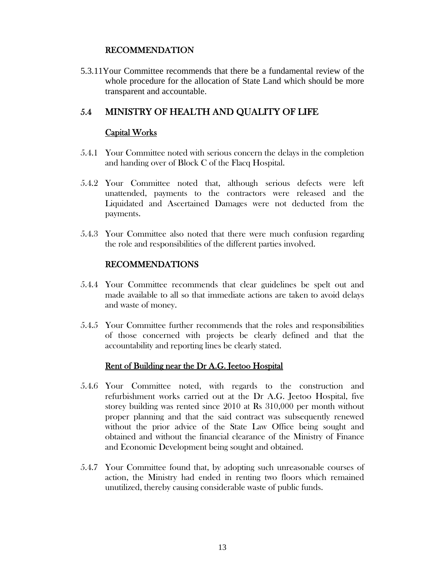#### RECOMMENDATION

5.3.11Your Committee recommends that there be a fundamental review of the whole procedure for the allocation of State Land which should be more transparent and accountable.

# 5.4 MINISTRY OF HEALTH AND QUALITY OF LIFE

#### Capital Works

- 5.4.1 Your Committee noted with serious concern the delays in the completion and handing over of Block C of the Flacq Hospital.
- 5.4.2 Your Committee noted that, although serious defects were left unattended, payments to the contractors were released and the Liquidated and Ascertained Damages were not deducted from the payments.
- 5.4.3 Your Committee also noted that there were much confusion regarding the role and responsibilities of the different parties involved.

# RECOMMENDATIONS

- 5.4.4 Your Committee recommends that clear guidelines be spelt out and made available to all so that immediate actions are taken to avoid delays and waste of money.
- 5.4.5 Your Committee further recommends that the roles and responsibilities of those concerned with projects be clearly defined and that the accountability and reporting lines be clearly stated.

## Rent of Building near the Dr A.G. Jeetoo Hospital

- 5.4.6 Your Committee noted, with regards to the construction and refurbishment works carried out at the Dr A.G. Jeetoo Hospital, five storey building was rented since 2010 at Rs 310,000 per month without proper planning and that the said contract was subsequently renewed without the prior advice of the State Law Office being sought and obtained and without the financial clearance of the Ministry of Finance and Economic Development being sought and obtained.
- 5.4.7 Your Committee found that, by adopting such unreasonable courses of action, the Ministry had ended in renting two floors which remained unutilized, thereby causing considerable waste of public funds.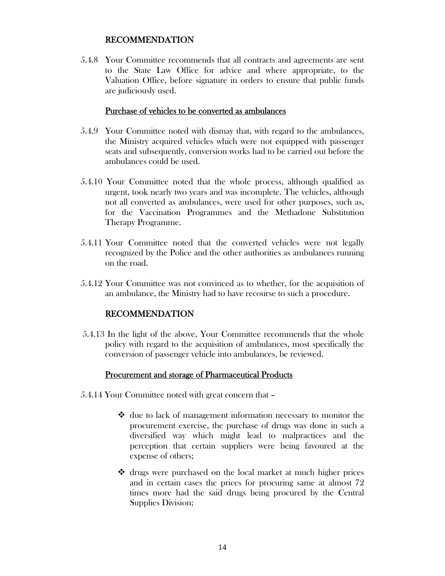#### RECOMMENDATION

5.4.8 Your Committee recommends that all contracts and agreements are sent to the State Law Office for advice and where appropriate, to the Valuation Office, before signature in orders to ensure that public funds are judiciously used.

#### Purchase of vehicles to be converted as ambulances

- 5.4.9 Your Committee noted with dismay that, with regard to the ambulances, the Ministry acquired vehicles which were not equipped with passenger seats and subsequently, conversion works had to be carried out before the ambulances could be used.
- 5.4.10 Your Committee noted that the whole process, although qualified as urgent, took nearly two years and was incomplete. The vehicles, although not all converted as ambulances, were used for other purposes, such as, for the Vaccination Programmes and the Methadone Substitution Therapy Programme.
- 5.4.11 Your Committee noted that the converted vehicles were not legally recognized by the Police and the other authorities as ambulances running on the road.
- 5.4.12 Your Committee was not convinced as to whether, for the acquisition of an ambulance, the Ministry had to have recourse to such a procedure.

#### RECOMMENDATION

5.4.13 In the light of the above, Your Committee recommends that the whole policy with regard to the acquisition of ambulances, most specifically the conversion of passenger vehicle into ambulances, be reviewed.

#### Procurement and storage of Pharmaceutical Products

- 5.4.14 Your Committee noted with great concern that
	- $\triangleleft$  due to lack of management information necessary to monitor the procurement exercise, the purchase of drugs was done in such a diversified way which might lead to malpractices and the perception that certain suppliers were being favoured at the expense of others;
	- drugs were purchased on the local market at much higher prices and in certain cases the prices for procuring same at almost 72 times more had the said drugs being procured by the Central Supplies Division;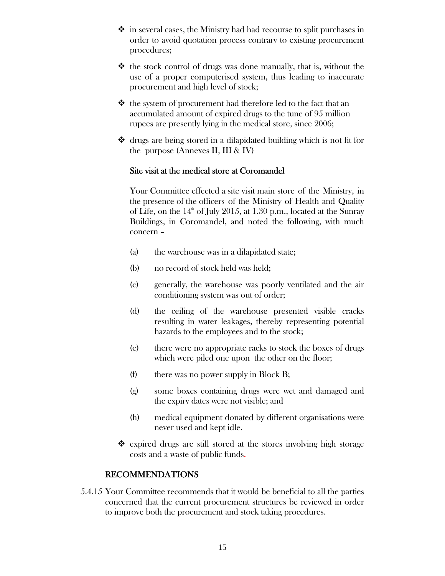- $\hat{\mathbf{v}}$  in several cases, the Ministry had had recourse to split purchases in order to avoid quotation process contrary to existing procurement procedures;
- $\triangle$  the stock control of drugs was done manually, that is, without the use of a proper computerised system, thus leading to inaccurate procurement and high level of stock;
- $\triangle$  the system of procurement had therefore led to the fact that an accumulated amount of expired drugs to the tune of 95 million rupees are presently lying in the medical store, since 2006;
- $\triangleleft$  drugs are being stored in a dilapidated building which is not fit for the purpose (Annexes II, III & IV)

#### Site visit at the medical store at Coromandel

Your Committee effected a site visit main store of the Ministry, in the presence of the officers of the Ministry of Health and Quality of Life, on the  $14<sup>th</sup>$  of July 2015, at 1.30 p.m., located at the Sunray Buildings, in Coromandel, and noted the following, with much concern –

- (a) the warehouse was in a dilapidated state;
- (b) no record of stock held was held;
- (c) generally, the warehouse was poorly ventilated and the air conditioning system was out of order;
- (d) the ceiling of the warehouse presented visible cracks resulting in water leakages, thereby representing potential hazards to the employees and to the stock;
- (e) there were no appropriate racks to stock the boxes of drugs which were piled one upon the other on the floor;
- (f) there was no power supply in Block B;
- (g) some boxes containing drugs were wet and damaged and the expiry dates were not visible; and
- (h) medical equipment donated by different organisations were never used and kept idle.
- $\triangle$  expired drugs are still stored at the stores involving high storage costs and a waste of public funds.

## RECOMMENDATIONS

5.4.15 Your Committee recommends that it would be beneficial to all the parties concerned that the current procurement structures be reviewed in order to improve both the procurement and stock taking procedures.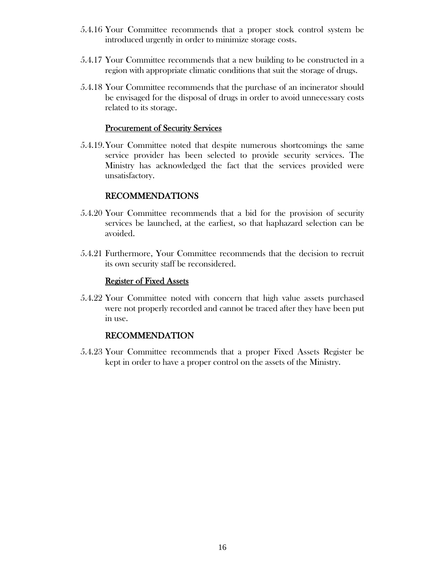- 5.4.16 Your Committee recommends that a proper stock control system be introduced urgently in order to minimize storage costs.
- 5.4.17 Your Committee recommends that a new building to be constructed in a region with appropriate climatic conditions that suit the storage of drugs.
- 5.4.18 Your Committee recommends that the purchase of an incinerator should be envisaged for the disposal of drugs in order to avoid unnecessary costs related to its storage.

#### Procurement of Security Services

5.4.19. Your Committee noted that despite numerous shortcomings the same service provider has been selected to provide security services. The Ministry has acknowledged the fact that the services provided were unsatisfactory.

#### RECOMMENDATIONS

- 5.4.20 Your Committee recommends that a bid for the provision of security services be launched, at the earliest, so that haphazard selection can be avoided.
- 5.4.21 Furthermore, Your Committee recommends that the decision to recruit its own security staff be reconsidered.

#### Register of Fixed Assets

5.4.22 Your Committee noted with concern that high value assets purchased were not properly recorded and cannot be traced after they have been put in use.

#### RECOMMENDATION

5.4.23 Your Committee recommends that a proper Fixed Assets Register be kept in order to have a proper control on the assets of the Ministry.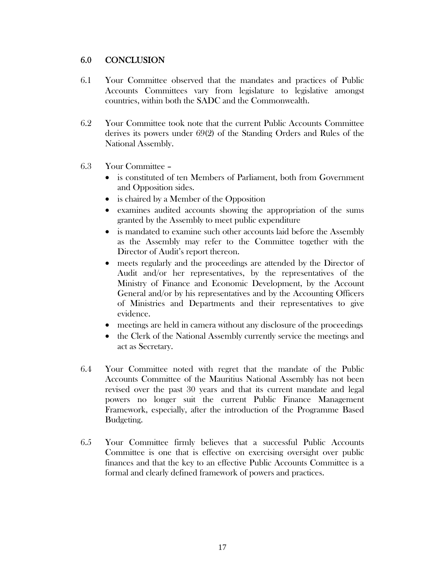# 6.0 CONCLUSION

- 6.1 Your Committee observed that the mandates and practices of Public Accounts Committees vary from legislature to legislative amongst countries, within both the SADC and the Commonwealth.
- 6.2 Your Committee took note that the current Public Accounts Committee derives its powers under 69(2) of the Standing Orders and Rules of the National Assembly.
- 6.3 Your Committee
	- is constituted of ten Members of Parliament, both from Government and Opposition sides.
	- is chaired by a Member of the Opposition
	- examines audited accounts showing the appropriation of the sums granted by the Assembly to meet public expenditure
	- is mandated to examine such other accounts laid before the Assembly as the Assembly may refer to the Committee together with the Director of Audit's report thereon.
	- meets regularly and the proceedings are attended by the Director of Audit and/or her representatives, by the representatives of the Ministry of Finance and Economic Development, by the Account General and/or by his representatives and by the Accounting Officers of Ministries and Departments and their representatives to give evidence.
	- meetings are held in camera without any disclosure of the proceedings
	- the Clerk of the National Assembly currently service the meetings and act as Secretary.
- 6.4 Your Committee noted with regret that the mandate of the Public Accounts Committee of the Mauritius National Assembly has not been revised over the past 30 years and that its current mandate and legal powers no longer suit the current Public Finance Management Framework, especially, after the introduction of the Programme Based Budgeting.
- 6.5 Your Committee firmly believes that a successful Public Accounts Committee is one that is effective on exercising oversight over public finances and that the key to an effective Public Accounts Committee is a formal and clearly defined framework of powers and practices.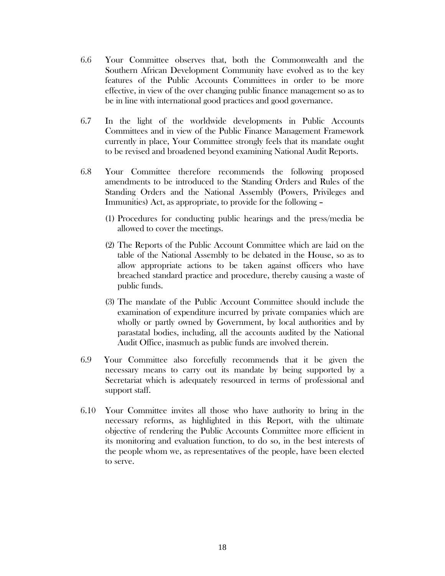- 6.6 Your Committee observes that, both the Commonwealth and the Southern African Development Community have evolved as to the key features of the Public Accounts Committees in order to be more effective, in view of the over changing public finance management so as to be in line with international good practices and good governance.
- 6.7 In the light of the worldwide developments in Public Accounts Committees and in view of the Public Finance Management Framework currently in place, Your Committee strongly feels that its mandate ought to be revised and broadened beyond examining National Audit Reports.
- 6.8 Your Committee therefore recommends the following proposed amendments to be introduced to the Standing Orders and Rules of the Standing Orders and the National Assembly (Powers, Privileges and Immunities) Act, as appropriate, to provide for the following –
	- (1) Procedures for conducting public hearings and the press/media be allowed to cover the meetings.
	- (2) The Reports of the Public Account Committee which are laid on the table of the National Assembly to be debated in the House, so as to allow appropriate actions to be taken against officers who have breached standard practice and procedure, thereby causing a waste of public funds.
	- (3) The mandate of the Public Account Committee should include the examination of expenditure incurred by private companies which are wholly or partly owned by Government, by local authorities and by parastatal bodies, including, all the accounts audited by the National Audit Office, inasmuch as public funds are involved therein.
- 6.9 Your Committee also forcefully recommends that it be given the necessary means to carry out its mandate by being supported by a Secretariat which is adequately resourced in terms of professional and support staff.
- 6.10 Your Committee invites all those who have authority to bring in the necessary reforms, as highlighted in this Report, with the ultimate objective of rendering the Public Accounts Committee more efficient in its monitoring and evaluation function, to do so, in the best interests of the people whom we, as representatives of the people, have been elected to serve.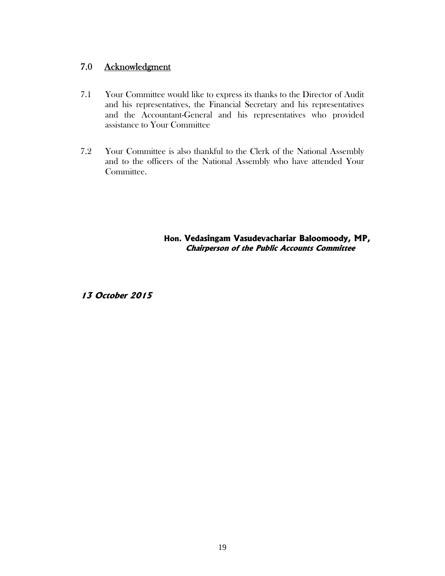# 7.0 Acknowledgment

- 7.1 Your Committee would like to express its thanks to the Director of Audit and his representatives, the Financial Secretary and his representatives and the Accountant-General and his representatives who provided assistance to Your Committee
- 7.2 Your Committee is also thankful to the Clerk of the National Assembly and to the officers of the National Assembly who have attended Your Committee.

**Hon. Vedasingam Vasudevachariar Baloomoody, MP, Chairperson of the Public Accounts Committee** 

**13 October 2015**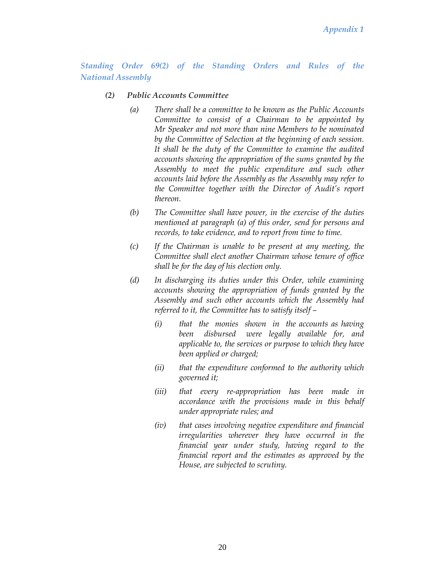*Standing Order 69(2) of the Standing Orders and Rules of the National Assembly* 

#### *(2) Public Accounts Committee*

- *(a) There shall be a committee to be known as the Public Accounts Committee to consist of a Chairman to be appointed by Mr Speaker and not more than nine Members to be nominated by the Committee of Selection at the beginning of each session. It shall be the duty of the Committee to examine the audited accounts showing the appropriation of the sums granted by the Assembly to meet the public expenditure and such other accounts laid before the Assembly as the Assembly may refer to the Committee together with the Director of Audit's report thereon.*
- *(b) The Committee shall have power, in the exercise of the duties mentioned at paragraph (a) of this order, send for persons and records, to take evidence, and to report from time to time.*
- *(c) If the Chairman is unable to be present at any meeting, the Committee shall elect another Chairman whose tenure of office shall be for the day of his election only.*
- *(d) In discharging its duties under this Order, while examining accounts showing the appropriation of funds granted by the Assembly and such other accounts which the Assembly had referred to it, the Committee has to satisfy itself –* 
	- *(i) that the monies shown in the accounts as having been disbursed were legally available for, and applicable to, the services or purpose to which they have been applied or charged;*
	- *(ii) that the expenditure conformed to the authority which governed it;*
	- *(iii) that every re-appropriation has been made in accordance with the provisions made in this behalf under appropriate rules; and*
	- *(iv) that cases involving negative expenditure and financial irregularities wherever they have occurred in the financial year under study, having regard to the financial report and the estimates as approved by the House, are subjected to scrutiny.*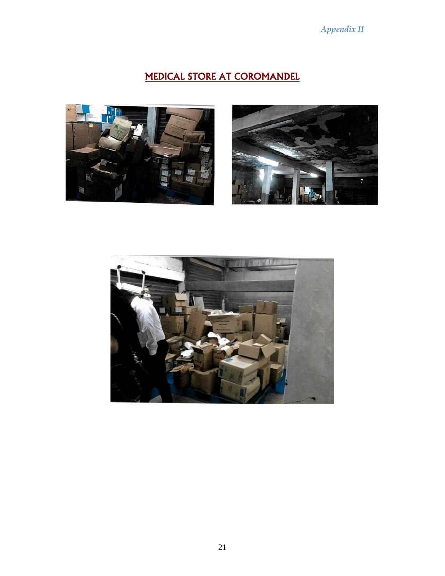# *Appendix II*

# MEDICAL STORE AT COROMANDEL





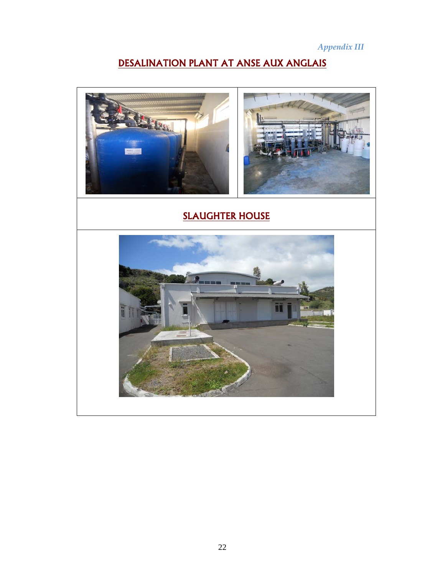*Appendix III* 

# DESALINATION PLANT AT ANSE AUX ANGLAIS



# SLAUGHTER HOUSE